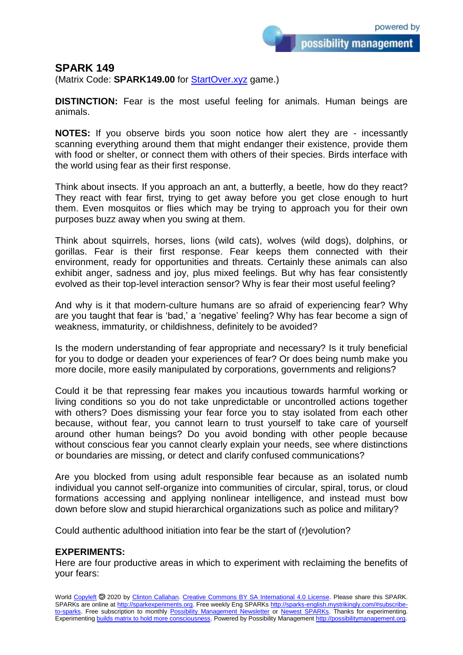possibility management

## **SPARK 149**

(Matrix Code: **SPARK149.00** for **StartOver.xyz** game.)

**DISTINCTION:** Fear is the most useful feeling for animals. Human beings are animals.

**NOTES:** If you observe birds you soon notice how alert they are - incessantly scanning everything around them that might endanger their existence, provide them with food or shelter, or connect them with others of their species. Birds interface with the world using fear as their first response.

Think about insects. If you approach an ant, a butterfly, a beetle, how do they react? They react with fear first, trying to get away before you get close enough to hurt them. Even mosquitos or flies which may be trying to approach you for their own purposes buzz away when you swing at them.

Think about squirrels, horses, lions (wild cats), wolves (wild dogs), dolphins, or gorillas. Fear is their first response. Fear keeps them connected with their environment, ready for opportunities and threats. Certainly these animals can also exhibit anger, sadness and joy, plus mixed feelings. But why has fear consistently evolved as their top-level interaction sensor? Why is fear their most useful feeling?

And why is it that modern-culture humans are so afraid of experiencing fear? Why are you taught that fear is 'bad,' a 'negative' feeling? Why has fear become a sign of weakness, immaturity, or childishness, definitely to be avoided?

Is the modern understanding of fear appropriate and necessary? Is it truly beneficial for you to dodge or deaden your experiences of fear? Or does being numb make you more docile, more easily manipulated by corporations, governments and religions?

Could it be that repressing fear makes you incautious towards harmful working or living conditions so you do not take unpredictable or uncontrolled actions together with others? Does dismissing your fear force you to stay isolated from each other because, without fear, you cannot learn to trust yourself to take care of yourself around other human beings? Do you avoid bonding with other people because without conscious fear you cannot clearly explain your needs, see where distinctions or boundaries are missing, or detect and clarify confused communications?

Are you blocked from using adult responsible fear because as an isolated numb individual you cannot self-organize into communities of circular, spiral, torus, or cloud formations accessing and applying nonlinear intelligence, and instead must bow down before slow and stupid hierarchical organizations such as police and military?

Could authentic adulthood initiation into fear be the start of (r)evolution?

## **EXPERIMENTS:**

Here are four productive areas in which to experiment with reclaiming the benefits of your fears: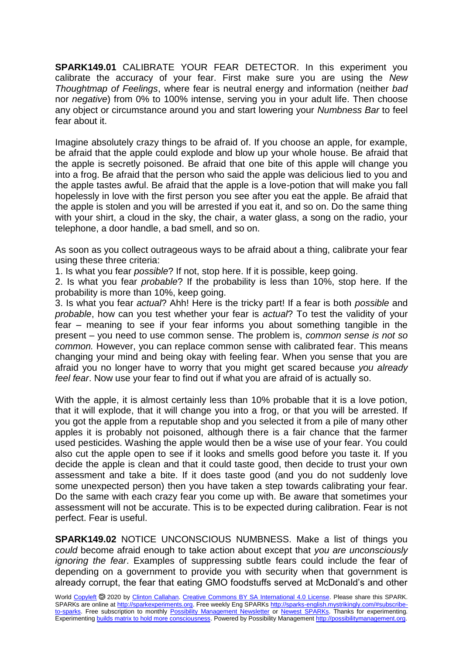**SPARK149.01** CALIBRATE YOUR FEAR DETECTOR. In this experiment you calibrate the accuracy of your fear. First make sure you are using the *New Thoughtmap of Feelings*, where fear is neutral energy and information (neither *bad* nor *negative*) from 0% to 100% intense, serving you in your adult life. Then choose any object or circumstance around you and start lowering your *Numbness Bar* to feel fear about it.

Imagine absolutely crazy things to be afraid of. If you choose an apple, for example, be afraid that the apple could explode and blow up your whole house. Be afraid that the apple is secretly poisoned. Be afraid that one bite of this apple will change you into a frog. Be afraid that the person who said the apple was delicious lied to you and the apple tastes awful. Be afraid that the apple is a love-potion that will make you fall hopelessly in love with the first person you see after you eat the apple. Be afraid that the apple is stolen and you will be arrested if you eat it, and so on. Do the same thing with your shirt, a cloud in the sky, the chair, a water glass, a song on the radio, your telephone, a door handle, a bad smell, and so on.

As soon as you collect outrageous ways to be afraid about a thing, calibrate your fear using these three criteria:

1. Is what you fear *possible*? If not, stop here. If it is possible, keep going.

2. Is what you fear *probable*? If the probability is less than 10%, stop here. If the probability is more than 10%, keep going.

3. Is what you fear *actual*? Ahh! Here is the tricky part! If a fear is both *possible* and *probable*, how can you test whether your fear is *actual*? To test the validity of your fear – meaning to see if your fear informs you about something tangible in the present – you need to use common sense. The problem is, *common sense is not so common.* However, you can replace common sense with calibrated fear. This means changing your mind and being okay with feeling fear. When you sense that you are afraid you no longer have to worry that you might get scared because *you already feel fear*. Now use your fear to find out if what you are afraid of is actually so.

With the apple, it is almost certainly less than 10% probable that it is a love potion, that it will explode, that it will change you into a frog, or that you will be arrested. If you got the apple from a reputable shop and you selected it from a pile of many other apples it is probably not poisoned, although there is a fair chance that the farmer used pesticides. Washing the apple would then be a wise use of your fear. You could also cut the apple open to see if it looks and smells good before you taste it. If you decide the apple is clean and that it could taste good, then decide to trust your own assessment and take a bite. If it does taste good (and you do not suddenly love some unexpected person) then you have taken a step towards calibrating your fear. Do the same with each crazy fear you come up with. Be aware that sometimes your assessment will not be accurate. This is to be expected during calibration. Fear is not perfect. Fear is useful.

**SPARK149.02** NOTICE UNCONSCIOUS NUMBNESS. Make a list of things you *could* become afraid enough to take action about except that *you are unconsciously ignoring the fear*. Examples of suppressing subtle fears could include the fear of depending on a government to provide you with security when that government is already corrupt, the fear that eating GMO foodstuffs served at McDonald's and other